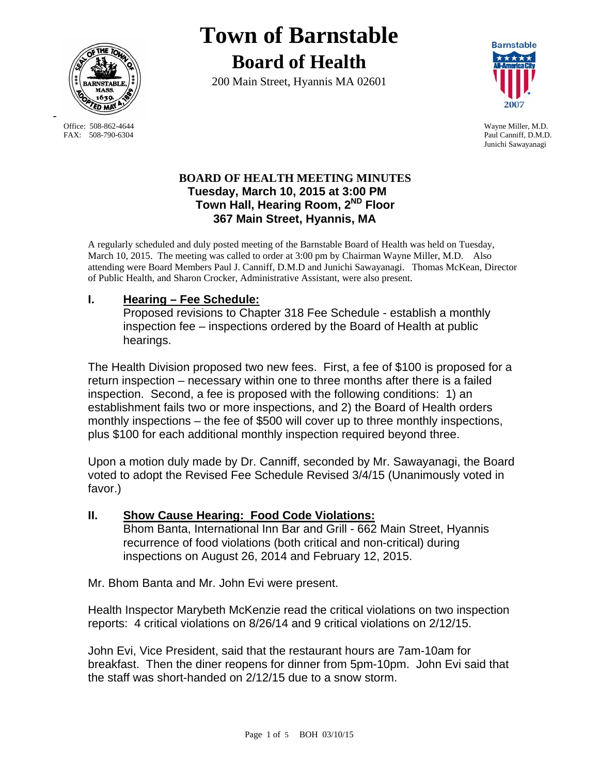

Office: 508-862-4644 Wayne Miller, M.D.<br>
FAX: 508-790-6304 Paul Canniff. D.M.D

-

# **Town of Barnstable Board of Health**

200 Main Street, Hyannis MA 02601



Paul Canniff, D.M.D. Junichi Sawayanagi

### **BOARD OF HEALTH MEETING MINUTES Tuesday, March 10, 2015 at 3:00 PM Town Hall, Hearing Room, 2ND Floor 367 Main Street, Hyannis, MA**

A regularly scheduled and duly posted meeting of the Barnstable Board of Health was held on Tuesday, March 10, 2015. The meeting was called to order at 3:00 pm by Chairman Wayne Miller, M.D. Also attending were Board Members Paul J. Canniff, D.M.D and Junichi Sawayanagi. Thomas McKean, Director of Public Health, and Sharon Crocker, Administrative Assistant, were also present.

## **I. Hearing – Fee Schedule:**

Proposed revisions to Chapter 318 Fee Schedule - establish a monthly inspection fee – inspections ordered by the Board of Health at public hearings.

The Health Division proposed two new fees. First, a fee of \$100 is proposed for a return inspection – necessary within one to three months after there is a failed inspection. Second, a fee is proposed with the following conditions: 1) an establishment fails two or more inspections, and 2) the Board of Health orders monthly inspections – the fee of \$500 will cover up to three monthly inspections, plus \$100 for each additional monthly inspection required beyond three.

Upon a motion duly made by Dr. Canniff, seconded by Mr. Sawayanagi, the Board voted to adopt the Revised Fee Schedule Revised 3/4/15 (Unanimously voted in favor.)

#### **II. Show Cause Hearing: Food Code Violations:** Bhom Banta, International Inn Bar and Grill - 662 Main Street, Hyannis recurrence of food violations (both critical and non-critical) during inspections on August 26, 2014 and February 12, 2015.

Mr. Bhom Banta and Mr. John Evi were present.

Health Inspector Marybeth McKenzie read the critical violations on two inspection reports: 4 critical violations on 8/26/14 and 9 critical violations on 2/12/15.

John Evi, Vice President, said that the restaurant hours are 7am-10am for breakfast. Then the diner reopens for dinner from 5pm-10pm. John Evi said that the staff was short-handed on 2/12/15 due to a snow storm.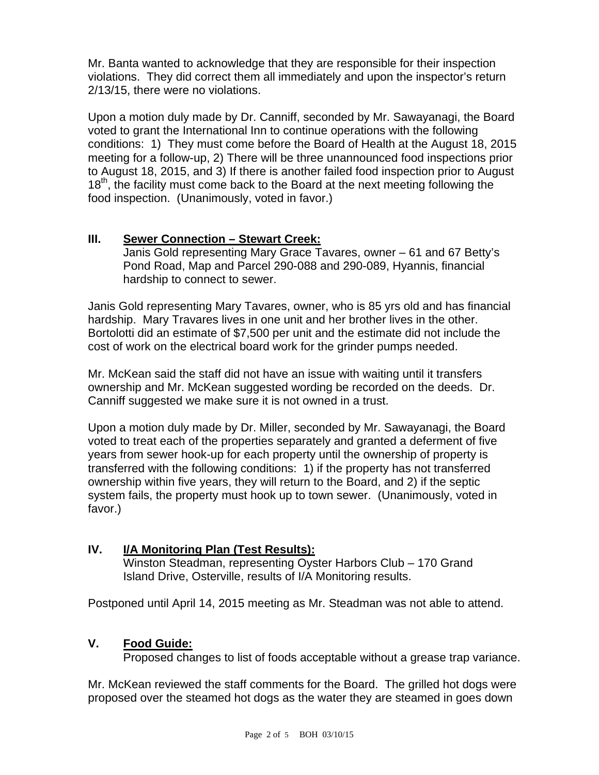Mr. Banta wanted to acknowledge that they are responsible for their inspection violations. They did correct them all immediately and upon the inspector's return 2/13/15, there were no violations.

Upon a motion duly made by Dr. Canniff, seconded by Mr. Sawayanagi, the Board voted to grant the International Inn to continue operations with the following conditions: 1) They must come before the Board of Health at the August 18, 2015 meeting for a follow-up, 2) There will be three unannounced food inspections prior to August 18, 2015, and 3) If there is another failed food inspection prior to August 18<sup>th</sup>, the facility must come back to the Board at the next meeting following the food inspection. (Unanimously, voted in favor.)

## **III. Sewer Connection – Stewart Creek:**

Janis Gold representing Mary Grace Tavares, owner – 61 and 67 Betty's Pond Road, Map and Parcel 290-088 and 290-089, Hyannis, financial hardship to connect to sewer.

Janis Gold representing Mary Tavares, owner, who is 85 yrs old and has financial hardship. Mary Travares lives in one unit and her brother lives in the other. Bortolotti did an estimate of \$7,500 per unit and the estimate did not include the cost of work on the electrical board work for the grinder pumps needed.

Mr. McKean said the staff did not have an issue with waiting until it transfers ownership and Mr. McKean suggested wording be recorded on the deeds. Dr. Canniff suggested we make sure it is not owned in a trust.

Upon a motion duly made by Dr. Miller, seconded by Mr. Sawayanagi, the Board voted to treat each of the properties separately and granted a deferment of five years from sewer hook-up for each property until the ownership of property is transferred with the following conditions: 1) if the property has not transferred ownership within five years, they will return to the Board, and 2) if the septic system fails, the property must hook up to town sewer. (Unanimously, voted in favor.)

# **IV. I/A Monitoring Plan (Test Results):**

Winston Steadman, representing Oyster Harbors Club – 170 Grand Island Drive, Osterville, results of I/A Monitoring results.

Postponed until April 14, 2015 meeting as Mr. Steadman was not able to attend.

## **V. Food Guide:**

Proposed changes to list of foods acceptable without a grease trap variance.

Mr. McKean reviewed the staff comments for the Board. The grilled hot dogs were proposed over the steamed hot dogs as the water they are steamed in goes down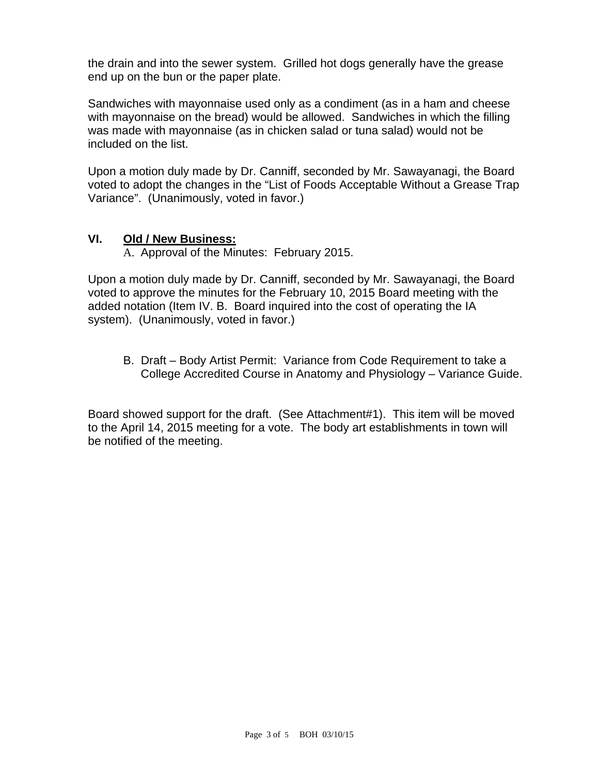the drain and into the sewer system. Grilled hot dogs generally have the grease end up on the bun or the paper plate.

Sandwiches with mayonnaise used only as a condiment (as in a ham and cheese with mayonnaise on the bread) would be allowed. Sandwiches in which the filling was made with mayonnaise (as in chicken salad or tuna salad) would not be included on the list.

Upon a motion duly made by Dr. Canniff, seconded by Mr. Sawayanagi, the Board voted to adopt the changes in the "List of Foods Acceptable Without a Grease Trap Variance". (Unanimously, voted in favor.)

### **VI. Old / New Business:**

A. Approval of the Minutes: February 2015.

Upon a motion duly made by Dr. Canniff, seconded by Mr. Sawayanagi, the Board voted to approve the minutes for the February 10, 2015 Board meeting with the added notation (Item IV. B. Board inquired into the cost of operating the IA system). (Unanimously, voted in favor.)

B. Draft – Body Artist Permit: Variance from Code Requirement to take a College Accredited Course in Anatomy and Physiology – Variance Guide.

Board showed support for the draft. (See Attachment#1). This item will be moved to the April 14, 2015 meeting for a vote. The body art establishments in town will be notified of the meeting.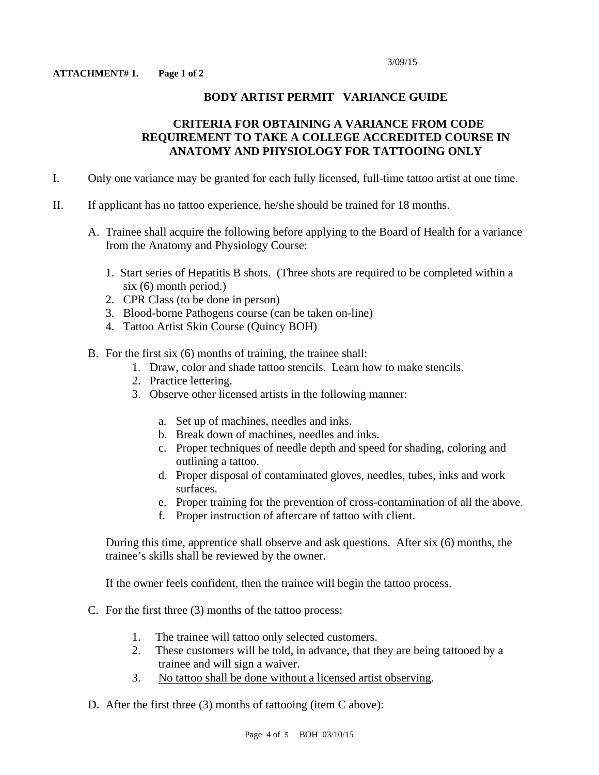#### **BODY ARTIST PERMIT VARIANCE GUIDE**

#### **CRITERIA FOR OBTAINING A VARIANCE FROM CODE REQUIREMENT TO TAKE A COLLEGE ACCREDITED COURSE IN ANATOMY AND PHYSIOLOGY FOR TATTOOING ONLY**

- I. Only one variance may be granted for each fully licensed, full-time tattoo artist at one time.
- II. If applicant has no tattoo experience, he/she should be trained for 18 months.
	- A. Trainee shall acquire the following before applying to the Board of Health for a variance from the Anatomy and Physiology Course:
		- 1. Start series of Hepatitis B shots. (Three shots are required to be completed within a six (6) month period.)
		- 2. CPR Class (to be done in person)
		- 3. Blood-borne Pathogens course (can be taken on-line)
		- 4. Tattoo Artist Skin Course (Quincy BOH)
	- B. For the first six (6) months of training, the trainee shall:
		- 1. Draw, color and shade tattoo stencils. Learn how to make stencils.
		- 2. Practice lettering.
		- 3. Observe other licensed artists in the following manner:
			- a. Set up of machines, needles and inks.
			- b. Break down of machines, needles and inks.
			- c. Proper techniques of needle depth and speed for shading, coloring and outlining a tattoo.
			- d. Proper disposal of contaminated gloves, needles, tubes, inks and work surfaces.
			- e. Proper training for the prevention of cross-contamination of all the above.
			- f. Proper instruction of aftercare of tattoo with client.

During this time, apprentice shall observe and ask questions. After six (6) months, the trainee's skills shall be reviewed by the owner.

If the owner feels confident, then the trainee will begin the tattoo process.

- C. For the first three (3) months of the tattoo process:
	- 1. The trainee will tattoo only selected customers.
	- 2. These customers will be told, in advance, that they are being tattooed by a trainee and will sign a waiver.
	- 3. No tattoo shall be done without a licensed artist observing.
- D. After the first three (3) months of tattooing (item C above):